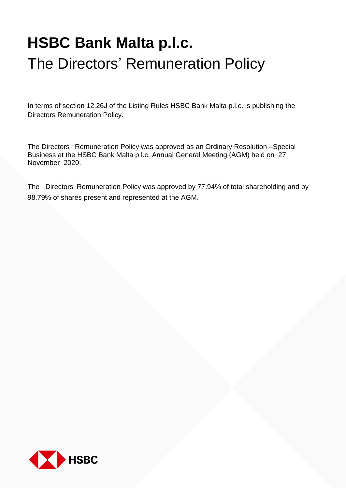# **HSBC Bank Malta p.l.c.** The Directors' Remuneration Policy

In terms of section 12.26J of the Listing Rules HSBC Bank Malta p.l.c. is publishing the Directors Remuneration Policy.

The Directors ' Remuneration Policy was approved as an Ordinary Resolution –Special Business at the HSBC Bank Malta p.l.c. Annual General Meeting (AGM) held on 27 November 2020.

The Directors' Remuneration Policy was approved by 77.94% of total shareholding and by 98.79% of shares present and represented at the AGM.

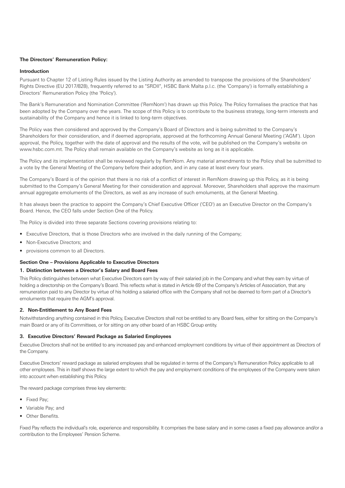# **The Directors' Remuneration Policy:**

# **Introduction**

Pursuant to Chapter 12 of Listing Rules issued by the Listing Authority as amended to transpose the provisions of the Shareholders' Rights Directive (EU 2017/828), frequently referred to as "SRDII", HSBC Bank Malta p.l.c. (the 'Company') is formally establishing a Directors' Remuneration Policy (the 'Policy').

The Bank's Remuneration and Nomination Committee ('RemNom') has drawn up this Policy. The Policy formalises the practice that has been adopted by the Company over the years. The scope of this Policy is to contribute to the business strategy, long-term interests and sustainability of the Company and hence it is linked to long-term objectives.

The Policy was then considered and approved by the Company's Board of Directors and is being submitted to the Company's Shareholders for their consideration, and if deemed appropriate, approved at the forthcoming Annual General Meeting ('AGM'). Upon approval, the Policy, together with the date of approval and the results of the vote, will be published on the Company's website on www.hsbc.com.mt. The Policy shall remain available on the Company's website as long as it is applicable.

The Policy and its implementation shall be reviewed regularly by RemNom. Any material amendments to the Policy shall be submitted to a vote by the General Meeting of the Company before their adoption, and in any case at least every four years.

The Company's Board is of the opinion that there is no risk of a conflict of interest in RemNom drawing up this Policy, as it is being submitted to the Company's General Meeting for their consideration and approval. Moreover, Shareholders shall approve the maximum annual aggregate emoluments of the Directors, as well as any increase of such emoluments, at the General Meeting.

It has always been the practice to appoint the Company's Chief Executive Officer ('CEO') as an Executive Director on the Company's Board. Hence, the CEO falls under Section One of the Policy.

The Policy is divided into three separate Sections covering provisions relating to:

- Executive Directors, that is those Directors who are involved in the daily running of the Company;
- Non-Executive Directors; and
- provisions common to all Directors.

# **Section One – Provisions Applicable to Executive Directors**

# **1. Distinction between a Director's Salary and Board Fees**

This Policy distinguishes between what Executive Directors earn by way of their salaried job in the Company and what they earn by virtue of holding a directorship on the Company's Board. This reflects what is stated in Article 69 of the Company's Articles of Association, that any remuneration paid to any Director by virtue of his holding a salaried office with the Company shall not be deemed to form part of a Director's emoluments that require the AGM's approval.

## **2. Non-Entitlement to Any Board Fees**

Notwithstanding anything contained in this Policy, Executive Directors shall not be entitled to any Board fees, either for sitting on the Company's main Board or any of its Committees, or for sitting on any other board of an HSBC Group entity.

## **3. Executive Directors' Reward Package as Salaried Employees**

Executive Directors shall not be entitled to any increased pay and enhanced employment conditions by virtue of their appointment as Directors of the Company.

Executive Directors' reward package as salaried employees shall be regulated in terms of the Company's Remuneration Policy applicable to all other employees. This in itself shows the large extent to which the pay and employment conditions of the employees of the Company were taken into account when establishing this Policy.

The reward package comprises three key elements:

- Fixed Pay;
- Variable Pay; and
- Other Benefits

Fixed Pay reflects the individual's role, experience and responsibility. It comprises the base salary and in some cases a fixed pay allowance and/or a contribution to the Employees' Pension Scheme.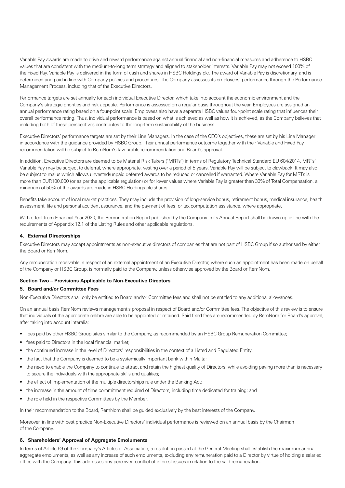Variable Pay awards are made to drive and reward performance against annual financial and non-financial measures and adherence to HSBC values that are consistent with the medium-to-long term strategy and aligned to stakeholder interests. Variable Pay may not exceed 100% of the Fixed Pay. Variable Pay is delivered in the form of cash and shares in HSBC Holdings plc. The award of Variable Pay is discretionary, and is determined and paid in line with Company policies and procedures. The Company assesses its employees' performance through the Performance Management Process, including that of the Executive Directors.

Performance targets are set annually for each individual Executive Director, which take into account the economic environment and the Company's strategic priorities and risk appetite. Performance is assessed on a regular basis throughout the year. Employees are assigned an annual performance rating based on a four-point scale. Employees also have a separate HSBC values four-point scale rating that influences their overall performance rating. Thus, individual performance is based on what is achieved as well as how it is achieved, as the Company believes that including both of these perspectives contributes to the long-term sustainability of the business.

Executive Directors' performance targets are set by their Line Managers. In the case of the CEO's objectives, these are set by his Line Manager in accordance with the guidance provided by HSBC Group. Their annual performance outcome together with their Variable and Fixed Pay recommendation will be subject to RemNom's favourable recommendation and Board's approval.

In addition, Executive Directors are deemed to be Material Risk Takers ("MRTs") in terms of Regulatory Technical Standard EU 604/2014. MRTs' Variable Pay may be subject to deferral, where appropriate, vesting over a period of 5 years. Variable Pay will be subject to clawback. It may also be subject to malus which allows unvested/unpaid deferred awards to be reduced or cancelled if warranted. Where Variable Pay for MRTs is more than EUR100,000 (or as per the applicable regulation) or for lower values where Variable Pay is greater than 33% of Total Compensation, a minimum of 50% of the awards are made in HSBC Holdings plc shares.

Benefits take account of local market practices. They may include the provision of long-service bonus, retirement bonus, medical insurance, health assessment, life and personal accident assurance, and the payment of fees for tax computation assistance, where appropriate.

With effect from Financial Year 2020, the Remuneration Report published by the Company in its Annual Report shall be drawn up in line with the requirements of Appendix 12.1 of the Listing Rules and other applicable regulations.

## **4. External Directorships**

Executive Directors may accept appointments as non-executive directors of companies that are not part of HSBC Group if so authorised by either the Board or RemNom.

Any remuneration receivable in respect of an external appointment of an Executive Director, where such an appointment has been made on behalf of the Company or HSBC Group, is normally paid to the Company, unless otherwise approved by the Board or RemNom.

#### **Section Two – Provisions Applicable to Non-Executive Directors**

### **5. Board and/or Committee Fees**

Non-Executive Directors shall only be entitled to Board and/or Committee fees and shall not be entitled to any additional allowances.

On an annual basis RemNom reviews management's proposal in respect of Board and/or Committee fees. The objective of this review is to ensure that individuals of the appropriate calibre are able to be appointed or retained. Said fixed fees are recommended by RemNom for Board's approval, after taking into account interalia:

- fees paid by other HSBC Group sites similar to the Company, as recommended by an HSBC Group Remuneration Committee;
- fees paid to Directors in the local financial market;
- the continued increase in the level of Directors' responsibilities in the context of a Listed and Regulated Entity;
- the fact that the Company is deemed to be a systemically important bank within Malta;
- the need to enable the Company to continue to attract and retain the highest quality of Directors, while avoiding paying more than is necessary to secure the individuals with the appropriate skills and qualities;
- the effect of implementation of the multiple directorships rule under the Banking Act;
- the increase in the amount of time commitment required of Directors, including time dedicated for training; and
- the role held in the respective Committees by the Member.

In their recommendation to the Board, RemNom shall be guided exclusively by the best interests of the Company.

Moreover, in line with best practice Non-Executive Directors' individual performance is reviewed on an annual basis by the Chairman of the Company.

## **6. Shareholders' Approval of Aggregate Emoluments**

In terms of Article 69 of the Company's Articles of Association, a resolution passed at the General Meeting shall establish the maximum annual aggregate emoluments, as well as any increase of such emoluments, excluding any remuneration paid to a Director by virtue of holding a salaried office with the Company. This addresses any perceived conflict of interest issues in relation to the said remuneration.